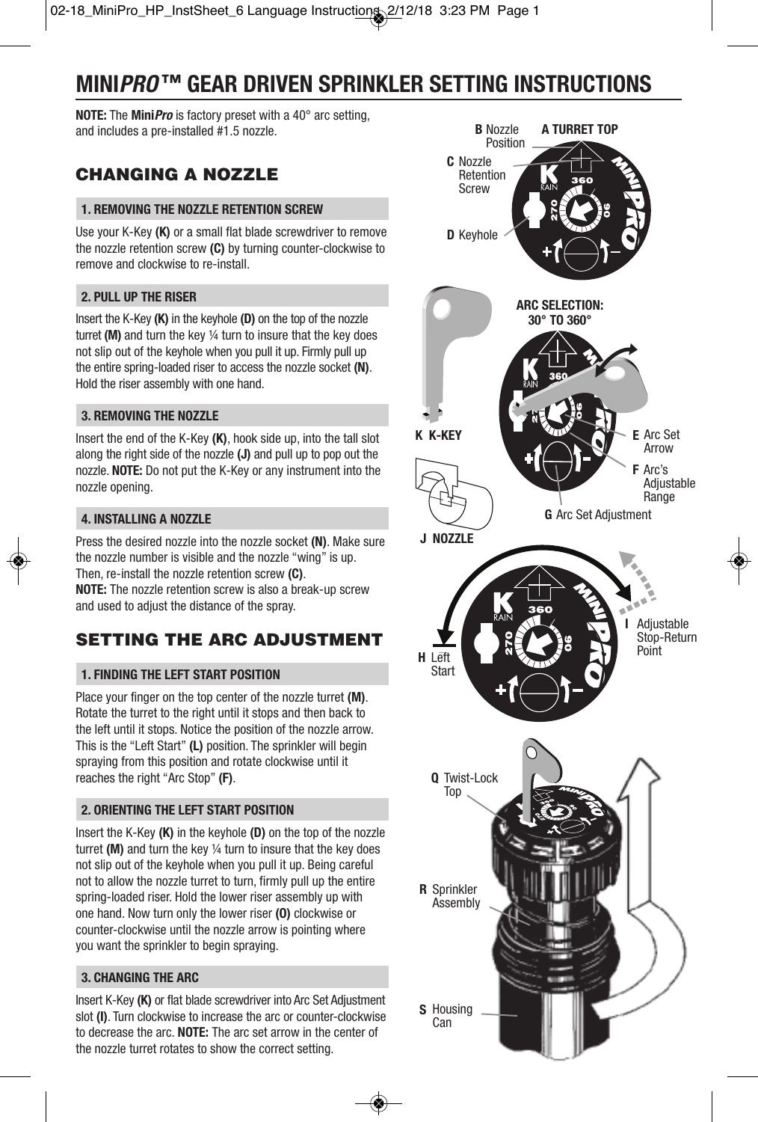# **MINI***PRO* **™ GEAR DRIVEN SPRINKLER SETTING INSTRUCTIONS**

**NOTE:** The **Mini***Pro* is factory preset with a 40° arc setting, and includes a pre-installed #1.5 nozzle.

# **CHANGING A NOZZLE**

#### **1. REMOVING THE NOZZLE RETENTION SCREW**

Use your K-Key **(K)** or a small flat blade screwdriver to remove the nozzle retention screw **(C)** by turning counter-clockwise to remove and clockwise to re-install.

## **2. PULL UP THE RISER**

Insert the K-Key **(K)** in the keyhole **(D)** on the top of the nozzle turret **(M)** and turn the key ¼ turn to insure that the key does not slip out of the keyhole when you pull it up. Firmly pull up the entire spring-loaded riser to access the nozzle socket **(N)**. Hold the riser assembly with one hand.

#### **3. REMOVING THE NOZZLE**

Insert the end of the K-Key **(K)**, hook side up, into the tall slot along the right side of the nozzle **(J)** and pull up to pop out the nozzle. **NOTE:** Do not put the K-Key or any instrument into the nozzle opening.

#### **4. INSTALLING A NOZZLE**

Press the desired nozzle into the nozzle socket **(N)**. Make sure the nozzle number is visible and the nozzle "wing" is up. Then, re-install the nozzle retention screw **(C)**.

**NOTE:** The nozzle retention screw is also a break-up screw and used to adjust the distance of the spray.

## **SETTING THE ARC ADJUSTMENT**

#### **1. FINDING THE LEFT START POSITION**

Place your finger on the top center of the nozzle turret **(M)**. Rotate the turret to the right until it stops and then back to the left until it stops. Notice the position of the nozzle arrow. This is the "Left Start" **(L)** position. The sprinkler will begin spraying from this position and rotate clockwise until it reaches the right "Arc Stop" **(F)**.

## **2. ORIENTING THE LEFT START POSITION**

Insert the K-Key **(K)** in the keyhole **(D)** on the top of the nozzle turret **(M)** and turn the key ¼ turn to insure that the key does not slip out of the keyhole when you pull it up. Being careful not to allow the nozzle turret to turn, firmly pull up the entire spring-loaded riser. Hold the lower riser assembly up with one hand. Now turn only the lower riser **(O)** clockwise or counter-clockwise until the nozzle arrow is pointing where you want the sprinkler to begin spraying.

## **3. CHANGING THE ARC**

Insert K-Key **(K)** or flat blade screwdriver into Arc Set Adjustment slot **(I)**. Turn clockwise to increase the arc or counter-clockwise to decrease the arc. **NOTE:** The arc set arrow in the center of the nozzle turret rotates to show the correct setting.